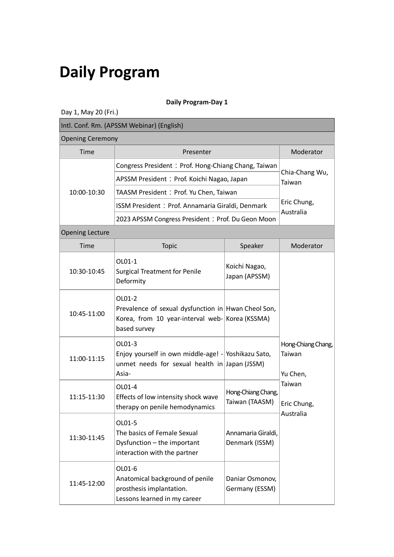# **Daily Program**

## **Daily Program-Day 1**

Day 1, May 20 (Fri.)

| Intl. Conf. Rm. (APSSM Webinar) (English) |                                                                                                                                  |                                      |                                          |  |  |
|-------------------------------------------|----------------------------------------------------------------------------------------------------------------------------------|--------------------------------------|------------------------------------------|--|--|
|                                           | <b>Opening Ceremony</b>                                                                                                          |                                      |                                          |  |  |
| Time                                      | Presenter                                                                                                                        |                                      | Moderator                                |  |  |
|                                           | Congress President: Prof. Hong-Chiang Chang, Taiwan                                                                              |                                      |                                          |  |  |
|                                           | APSSM President: Prof. Koichi Nagao, Japan                                                                                       |                                      | Chia-Chang Wu,<br>Taiwan                 |  |  |
| 10:00-10:30                               | TAASM President: Prof. Yu Chen, Taiwan                                                                                           |                                      |                                          |  |  |
|                                           | ISSM President: Prof. Annamaria Giraldi, Denmark                                                                                 |                                      | Eric Chung,<br>Australia                 |  |  |
|                                           | 2023 APSSM Congress President: Prof. Du Geon Moon                                                                                |                                      |                                          |  |  |
| <b>Opening Lecture</b>                    |                                                                                                                                  |                                      |                                          |  |  |
| Time                                      | Topic                                                                                                                            | Speaker                              | Moderator                                |  |  |
| 10:30-10:45                               | OL01-1<br><b>Surgical Treatment for Penile</b><br>Deformity                                                                      | Koichi Nagao,<br>Japan (APSSM)       |                                          |  |  |
| 10:45-11:00                               | OL01-2<br>Prevalence of sexual dysfunction in Hwan Cheol Son,<br>Korea, from 10 year-interval web- Korea (KSSMA)<br>based survey |                                      |                                          |  |  |
| 11:00-11:15                               | OL01-3<br>Enjoy yourself in own middle-age! - Yoshikazu Sato,<br>unmet needs for sexual health in Japan (JSSM)<br>Asia-          |                                      | Hong-Chiang Chang,<br>Taiwan<br>Yu Chen, |  |  |
| 11:15-11:30                               | OL01-4<br>Effects of low intensity shock wave<br>therapy on penile hemodynamics                                                  | Hong-Chiang Chang,<br>Taiwan (TAASM) | Taiwan<br>Eric Chung,                    |  |  |
| 11:30-11:45                               | OL01-5<br>The basics of Female Sexual<br>Dysfunction - the important<br>interaction with the partner                             | Annamaria Giraldi,<br>Denmark (ISSM) | Australia                                |  |  |
| 11:45-12:00                               | OL01-6<br>Anatomical background of penile<br>prosthesis implantation.<br>Lessons learned in my career                            | Daniar Osmonov,<br>Germany (ESSM)    |                                          |  |  |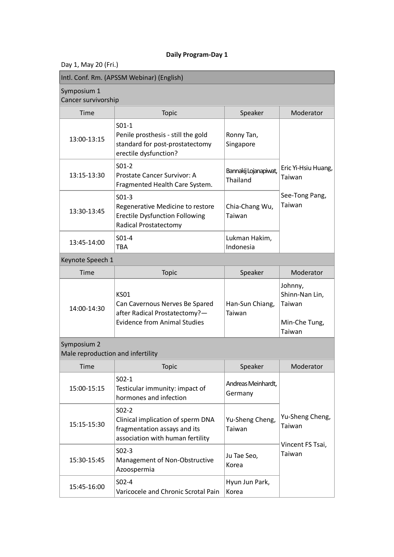Day 1, May 20 (Fri.)

| Intl. Conf. Rm. (APSSM Webinar) (English) |                                                                                                                      |                                   |                               |  |  |
|-------------------------------------------|----------------------------------------------------------------------------------------------------------------------|-----------------------------------|-------------------------------|--|--|
| Symposium 1                               | Cancer survivorship                                                                                                  |                                   |                               |  |  |
| Time                                      | <b>Topic</b>                                                                                                         | Speaker                           | Moderator                     |  |  |
| 13:00-13:15                               | $S01-1$<br>Penile prosthesis - still the gold<br>standard for post-prostatectomy<br>erectile dysfunction?            | Ronny Tan,<br>Singapore           |                               |  |  |
| 13:15-13:30                               | $S01-2$<br>Prostate Cancer Survivor: A<br>Fragmented Health Care System.                                             | Bannakij Lojanapiwat,<br>Thailand | Eric Yi-Hsiu Huang,<br>Taiwan |  |  |
| 13:30-13:45                               | $S01-3$<br>Regenerative Medicine to restore<br><b>Erectile Dysfunction Following</b><br><b>Radical Prostatectomy</b> | Chia-Chang Wu,<br>Taiwan          | See-Tong Pang,<br>Taiwan      |  |  |
| 13:45-14:00                               | $S01-4$<br>TBA                                                                                                       | Lukman Hakim,<br>Indonesia        |                               |  |  |

## Keynote Speech 1

| Time        | <b>Topic</b>                                                                                                   | Speaker                   | Moderator                                                      |
|-------------|----------------------------------------------------------------------------------------------------------------|---------------------------|----------------------------------------------------------------|
| 14:00-14:30 | KS01<br>Can Cavernous Nerves Be Spared<br>after Radical Prostatectomy?-<br><b>Evidence from Animal Studies</b> | Han-Sun Chiang,<br>Taiwan | Johnny,<br>Shinn-Nan Lin,<br>Taiwan<br>Min-Che Tung,<br>Taiwan |

## Symposium 2

Male reproduction and infertility

| Time        | <b>Topic</b>                                                                                                     | Speaker                       | Moderator                  |
|-------------|------------------------------------------------------------------------------------------------------------------|-------------------------------|----------------------------|
| 15:00-15:15 | $S02-1$<br>Testicular immunity: impact of<br>hormones and infection                                              | Andreas Meinhardt,<br>Germany |                            |
| 15:15-15:30 | $SO2-2$<br>Clinical implication of sperm DNA<br>fragmentation assays and its<br>association with human fertility | Yu-Sheng Cheng,<br>Taiwan     | Yu-Sheng Cheng,<br>Taiwan  |
| 15:30-15:45 | $S02-3$<br>Management of Non-Obstructive<br>Azoospermia                                                          | Ju Tae Seo,<br>Korea          | Vincent FS Tsai,<br>Taiwan |
| 15:45-16:00 | $S02-4$<br>Varicocele and Chronic Scrotal Pain                                                                   | Hyun Jun Park,<br>Korea       |                            |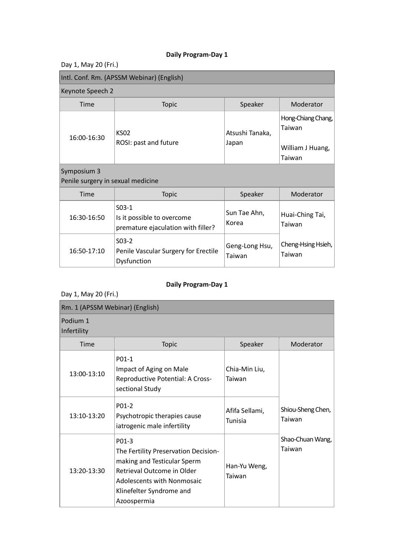Day 1, May 20 (Fri.)

| Intl. Conf. Rm. (APSSM Webinar) (English)        |                                                                             |                          |                                                            |
|--------------------------------------------------|-----------------------------------------------------------------------------|--------------------------|------------------------------------------------------------|
| Keynote Speech 2                                 |                                                                             |                          |                                                            |
| <b>Time</b>                                      | <b>Topic</b>                                                                | Speaker                  | Moderator                                                  |
| 16:00-16:30                                      | <b>KS02</b><br>ROSI: past and future                                        | Atsushi Tanaka,<br>Japan | Hong-Chiang Chang,<br>Taiwan<br>William J Huang,<br>Taiwan |
| Symposium 3<br>Penile surgery in sexual medicine |                                                                             |                          |                                                            |
| Time                                             | <b>Topic</b>                                                                | Speaker                  | Moderator                                                  |
| 16:30-16:50                                      | $S03-1$<br>Is it possible to overcome<br>premature ejaculation with filler? | Sun Tae Ahn,<br>Korea    | Huai-Ching Tai,<br>Taiwan                                  |
| 16:50-17:10                                      | $S03-2$<br>Penile Vascular Surgery for Erectile<br>Dysfunction              | Geng-Long Hsu,<br>Taiwan | Cheng-Hsing Hsieh,<br>Taiwan                               |

## **Daily Program-Day 1**

Day 1, May 20 (Fri.)

| Rm. 1 (APSSM Webinar) (English) |                                                                                                                                                                                     |                           |                             |  |
|---------------------------------|-------------------------------------------------------------------------------------------------------------------------------------------------------------------------------------|---------------------------|-----------------------------|--|
| Podium 1<br>Infertility         |                                                                                                                                                                                     |                           |                             |  |
| Time                            | <b>Topic</b>                                                                                                                                                                        | Speaker                   | Moderator                   |  |
| 13:00-13:10                     | P01-1<br>Impact of Aging on Male<br>Reproductive Potential: A Cross-<br>sectional Study                                                                                             | Chia-Min Liu,<br>Taiwan   |                             |  |
| 13:10-13:20                     | P <sub>01</sub> -2<br>Psychotropic therapies cause<br>iatrogenic male infertility                                                                                                   | Afifa Sellami,<br>Tunisia | Shiou-Sheng Chen,<br>Taiwan |  |
| 13:20-13:30                     | P01-3<br>The Fertility Preservation Decision-<br>making and Testicular Sperm<br>Retrieval Outcome in Older<br>Adolescents with Nonmosaic<br>Klinefelter Syndrome and<br>Azoospermia | Han-Yu Weng,<br>Taiwan    | Shao-Chuan Wang,<br>Taiwan  |  |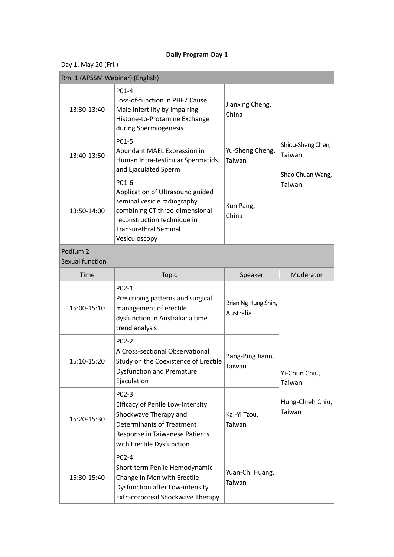| Day 1, May 20 (Fri.)                   |                                                                                                                                                                                            |                                  |                                                           |
|----------------------------------------|--------------------------------------------------------------------------------------------------------------------------------------------------------------------------------------------|----------------------------------|-----------------------------------------------------------|
| Rm. 1 (APSSM Webinar) (English)        |                                                                                                                                                                                            |                                  |                                                           |
| 13:30-13:40                            | P01-4<br>Loss-of-function in PHF7 Cause<br>Male Infertility by Impairing<br>Histone-to-Protamine Exchange<br>during Spermiogenesis                                                         | Jianxing Cheng,<br>China         | Shiou-Sheng Chen,<br>Taiwan<br>Shao-Chuan Wang,<br>Taiwan |
| 13:40-13:50                            | P01-5<br>Abundant MAEL Expression in<br>Human Intra-testicular Spermatids<br>and Ejaculated Sperm                                                                                          | Yu-Sheng Cheng,<br>Taiwan        |                                                           |
| 13:50-14:00                            | P01-6<br>Application of Ultrasound guided<br>seminal vesicle radiography<br>combining CT three-dimensional<br>reconstruction technique in<br><b>Transurethral Seminal</b><br>Vesiculoscopy | Kun Pang,<br>China               |                                                           |
| Podium <sub>2</sub><br>Sexual function |                                                                                                                                                                                            |                                  |                                                           |
| Time                                   | Topic                                                                                                                                                                                      | Speaker                          | Moderator                                                 |
| 15:00-15:10                            | P02-1<br>Prescribing patterns and surgical<br>management of erectile<br>dysfunction in Australia: a time<br>trend analysis                                                                 | Brian Ng Hung Shin,<br>Australia | Yi-Chun Chiu,<br>Taiwan<br>Hung-Chieh Chiu,<br>Taiwan     |
| 15:10-15:20                            | P02-2<br>A Cross-sectional Observational<br>Study on the Coexistence of Erectile<br><b>Dysfunction and Premature</b><br>Ejaculation                                                        | Bang-Ping Jiann,<br>Taiwan       |                                                           |
| 15:20-15:30                            | P02-3<br><b>Efficacy of Penile Low-intensity</b><br>Shockwave Therapy and<br><b>Determinants of Treatment</b><br>Response in Taiwanese Patients<br>with Erectile Dysfunction               | Kai-Yi Tzou,<br>Taiwan           |                                                           |
| 15:30-15:40                            | P02-4<br>Short-term Penile Hemodynamic<br>Change in Men with Erectile<br>Dysfunction after Low-intensity<br>Extracorporeal Shockwave Therapy                                               | Yuan-Chi Huang,<br>Taiwan        |                                                           |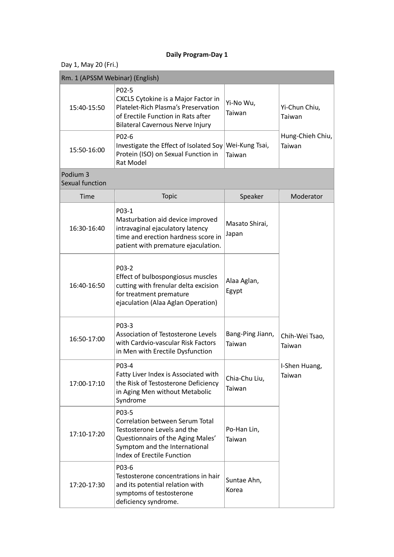| Day 1, May 20 (Fri.)                   |                                                                                                                                                                                    |                            |                            |
|----------------------------------------|------------------------------------------------------------------------------------------------------------------------------------------------------------------------------------|----------------------------|----------------------------|
| Rm. 1 (APSSM Webinar) (English)        |                                                                                                                                                                                    |                            |                            |
| 15:40-15:50                            | P02-5<br>CXCL5 Cytokine is a Major Factor in<br>Platelet-Rich Plasma's Preservation<br>of Erectile Function in Rats after<br><b>Bilateral Cavernous Nerve Injury</b>               | Yi-No Wu,<br>Taiwan        | Yi-Chun Chiu,<br>Taiwan    |
| 15:50-16:00                            | P02-6<br>Investigate the Effect of Isolated Soy<br>Protein (ISO) on Sexual Function in<br><b>Rat Model</b>                                                                         | Wei-Kung Tsai,<br>Taiwan   | Hung-Chieh Chiu,<br>Taiwan |
| Podium <sub>3</sub><br>Sexual function |                                                                                                                                                                                    |                            |                            |
| Time                                   | Topic                                                                                                                                                                              | Speaker                    | Moderator                  |
| 16:30-16:40                            | P03-1<br>Masturbation aid device improved<br>intravaginal ejaculatory latency<br>time and erection hardness score in<br>patient with premature ejaculation.                        | Masato Shirai,<br>Japan    |                            |
| 16:40-16:50                            | P03-2<br>Effect of bulbospongiosus muscles<br>cutting with frenular delta excision<br>for treatment premature<br>ejaculation (Alaa Aglan Operation)                                | Alaa Aglan,<br>Egypt       |                            |
| 16:50-17:00                            | P03-3<br>Association of Testosterone Levels<br>with Cardvio-vascular Risk Factors<br>in Men with Erectile Dysfunction                                                              | Bang-Ping Jiann,<br>Taiwan | Chih-Wei Tsao,<br>Taiwan   |
| 17:00-17:10                            | P03-4<br>Fatty Liver Index is Associated with<br>the Risk of Testosterone Deficiency<br>in Aging Men without Metabolic<br>Syndrome                                                 | Chia-Chu Liu,<br>Taiwan    | I-Shen Huang,<br>Taiwan    |
| 17:10-17:20                            | P03-5<br>Correlation between Serum Total<br>Testosterone Levels and the<br>Questionnairs of the Aging Males'<br>Symptom and the International<br><b>Index of Erectile Function</b> | Po-Han Lin,<br>Taiwan      |                            |
| 17:20-17:30                            | P03-6<br>Testosterone concentrations in hair<br>and its potential relation with<br>symptoms of testosterone<br>deficiency syndrome.                                                | Suntae Ahn,<br>Korea       |                            |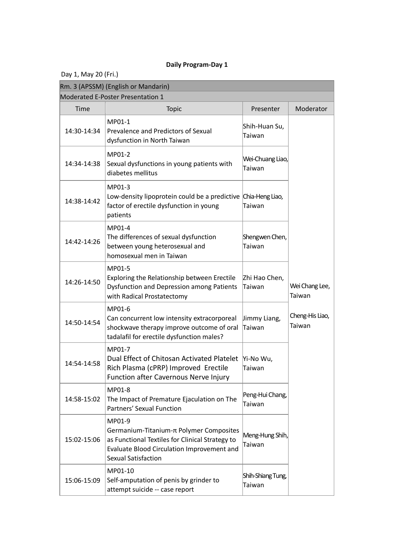Day 1, May 20 (Fri.)

| Rm. 3 (APSSM) (English or Mandarin) |                                                                                                                                                                                  |                             |                           |  |
|-------------------------------------|----------------------------------------------------------------------------------------------------------------------------------------------------------------------------------|-----------------------------|---------------------------|--|
|                                     | Moderated E-Poster Presentation 1                                                                                                                                                |                             |                           |  |
| Time                                | <b>Topic</b>                                                                                                                                                                     | Presenter                   | Moderator                 |  |
| 14:30-14:34                         | MP01-1<br>Prevalence and Predictors of Sexual<br>dysfunction in North Taiwan                                                                                                     | Shih-Huan Su,<br>Taiwan     |                           |  |
| 14:34-14:38                         | MP01-2<br>Sexual dysfunctions in young patients with<br>diabetes mellitus                                                                                                        | Wei-Chuang Liao,<br>Taiwan  |                           |  |
| 14:38-14:42                         | MP01-3<br>Low-density lipoprotein could be a predictive Chia-Heng Liao,<br>factor of erectile dysfunction in young<br>patients                                                   | Taiwan                      |                           |  |
| 14:42-14:26                         | MP01-4<br>The differences of sexual dysfunction<br>between young heterosexual and<br>homosexual men in Taiwan                                                                    | Shengwen Chen,<br>Taiwan    |                           |  |
| 14:26-14:50                         | MP01-5<br>Exploring the Relationship between Erectile<br><b>Dysfunction and Depression among Patients</b><br>with Radical Prostatectomy                                          | Zhi Hao Chen,<br>Taiwan     | Wei Chang Lee,<br>Taiwan  |  |
| 14:50-14:54                         | MP01-6<br>Can concurrent low intensity extracorporeal<br>shockwave therapy improve outcome of oral<br>tadalafil for erectile dysfunction males?                                  | Jimmy Liang,<br>Taiwan      | Cheng-His Liao,<br>Taiwan |  |
| 14:54-14:58                         | MP01-7<br>Dual Effect of Chitosan Activated Platelet<br>Rich Plasma (cPRP) Improved Erectile<br>Function after Cavernous Nerve Injury                                            | Yi-No Wu,<br>Taiwan         |                           |  |
| 14:58-15:02                         | MP01-8<br>The Impact of Premature Ejaculation on The<br>Partners' Sexual Function                                                                                                | Peng-Hui Chang,<br>Taiwan   |                           |  |
| 15:02-15:06                         | MP01-9<br>Germanium-Titanium-π Polymer Composites<br>as Functional Textiles for Clinical Strategy to<br>Evaluate Blood Circulation Improvement and<br><b>Sexual Satisfaction</b> | Meng-Hung Shih,<br>Taiwan   |                           |  |
| 15:06-15:09                         | MP01-10<br>Self-amputation of penis by grinder to<br>attempt suicide -- case report                                                                                              | Shih-Shiang Tung,<br>Taiwan |                           |  |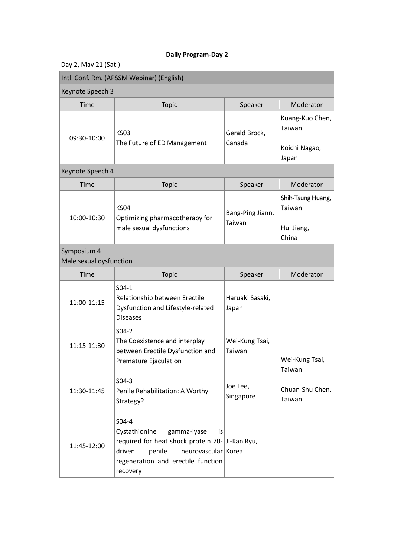| Day 2, May 21 (Sat.) |  |  |  |
|----------------------|--|--|--|
|----------------------|--|--|--|

| Intl. Conf. Rm. (APSSM Webinar) (English) |                                                                                                                                                                                              |                            |                                                     |
|-------------------------------------------|----------------------------------------------------------------------------------------------------------------------------------------------------------------------------------------------|----------------------------|-----------------------------------------------------|
| Keynote Speech 3                          |                                                                                                                                                                                              |                            |                                                     |
| Time                                      | <b>Topic</b>                                                                                                                                                                                 | Speaker                    | Moderator                                           |
| 09:30-10:00                               | <b>KS03</b><br>The Future of ED Management                                                                                                                                                   | Gerald Brock,<br>Canada    | Kuang-Kuo Chen,<br>Taiwan<br>Koichi Nagao,<br>Japan |
| Keynote Speech 4                          |                                                                                                                                                                                              |                            |                                                     |
| Time                                      | <b>Topic</b>                                                                                                                                                                                 | Speaker                    | Moderator                                           |
| 10:00-10:30                               | <b>KS04</b><br>Optimizing pharmacotherapy for<br>male sexual dysfunctions                                                                                                                    | Bang-Ping Jiann,<br>Taiwan | Shih-Tsung Huang,<br>Taiwan<br>Hui Jiang,<br>China  |
| Symposium 4<br>Male sexual dysfunction    |                                                                                                                                                                                              |                            |                                                     |
| Time                                      | <b>Topic</b>                                                                                                                                                                                 | Speaker                    | Moderator                                           |
| 11:00-11:15                               | $S04-1$<br>Relationship between Erectile<br>Dysfunction and Lifestyle-related<br><b>Diseases</b>                                                                                             | Haruaki Sasaki,<br>Japan   |                                                     |
| 11:15-11:30                               | $S04-2$<br>The Coexistence and interplay<br>between Erectile Dysfunction and<br>Premature Ejaculation                                                                                        | Wei-Kung Tsai,<br>Taiwan   | Wei-Kung Tsai,                                      |
| 11:30-11:45                               | $S04-3$<br>Penile Rehabilitation: A Worthy<br>Strategy?                                                                                                                                      | Joe Lee,<br>Singapore      | Taiwan<br>Chuan-Shu Chen,<br>Taiwan                 |
| 11:45-12:00                               | S04-4<br>Cystathionine<br>gamma-lyase<br>is.<br>required for heat shock protein 70- Ji-Kan Ryu,<br>neurovascular Korea<br>driven<br>penile<br>regeneration and erectile function<br>recovery |                            |                                                     |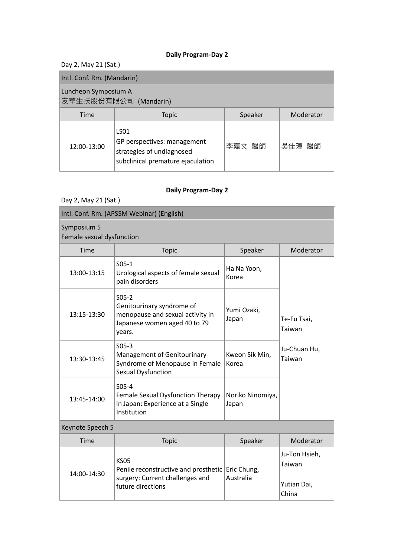Day 2, May 21 (Sat.)

| Intl. Conf. Rm. (Mandarin)                    |                                                                                                                   |         |           |
|-----------------------------------------------|-------------------------------------------------------------------------------------------------------------------|---------|-----------|
| Luncheon Symposium A<br>友華生技股份有限公司 (Mandarin) |                                                                                                                   |         |           |
| Time                                          | <b>Topic</b>                                                                                                      | Speaker | Moderator |
| 12:00-13:00                                   | LS <sub>01</sub><br>GP perspectives: management<br>strategies of undiagnosed<br>subclinical premature ejaculation | 李嘉文 醫師  | 吳佳璋 醫師    |

| Day 2, May 21 (Sat.)                     |                                                                                                                    |                           |                                                 |
|------------------------------------------|--------------------------------------------------------------------------------------------------------------------|---------------------------|-------------------------------------------------|
|                                          | Intl. Conf. Rm. (APSSM Webinar) (English)                                                                          |                           |                                                 |
| Symposium 5<br>Female sexual dysfunction |                                                                                                                    |                           |                                                 |
| Time                                     | Topic                                                                                                              | Speaker                   | Moderator                                       |
| 13:00-13:15                              | $S05-1$<br>Urological aspects of female sexual<br>pain disorders                                                   | Ha Na Yoon,<br>Korea      |                                                 |
| 13:15-13:30                              | $S05-2$<br>Genitourinary syndrome of<br>menopause and sexual activity in<br>Japanese women aged 40 to 79<br>years. | Yumi Ozaki,<br>Japan      | Te-Fu Tsai,<br>Taiwan                           |
| 13:30-13:45                              | $S05-3$<br>Management of Genitourinary<br>Syndrome of Menopause in Female<br>Sexual Dysfunction                    | Kweon Sik Min,<br>Korea   | Ju-Chuan Hu,<br>Taiwan                          |
| 13:45-14:00                              | $S05-4$<br>Female Sexual Dysfunction Therapy<br>in Japan: Experience at a Single<br>Institution                    | Noriko Ninomiya,<br>Japan |                                                 |
| Keynote Speech 5                         |                                                                                                                    |                           |                                                 |
| Time                                     | Topic                                                                                                              | Speaker                   | Moderator                                       |
| 14:00-14:30                              | <b>KS05</b><br>Penile reconstructive and prosthetic<br>surgery: Current challenges and<br>future directions        | Eric Chung,<br>Australia  | Ju-Ton Hsieh,<br>Taiwan<br>Yutian Dai,<br>China |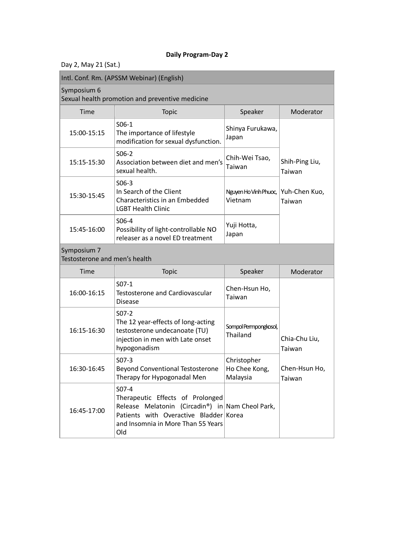Day 2, May 21 (Sat.)

16:45-17:00

Old

|                                              | Intl. Conf. Rm. (APSSM Webinar) (English)                                                                                          |                                          |                          |
|----------------------------------------------|------------------------------------------------------------------------------------------------------------------------------------|------------------------------------------|--------------------------|
| Symposium 6                                  | Sexual health promotion and preventive medicine                                                                                    |                                          |                          |
| Time                                         | Topic                                                                                                                              | Speaker                                  | Moderator                |
| 15:00-15:15                                  | $S06-1$<br>The importance of lifestyle<br>modification for sexual dysfunction.                                                     | Shinya Furukawa,<br>Japan                |                          |
| 15:15-15:30                                  | $S06-2$<br>Association between diet and men's<br>sexual health.                                                                    | Chih-Wei Tsao,<br>Taiwan                 | Shih-Ping Liu,<br>Taiwan |
| 15:30-15:45                                  | $S06-3$<br>In Search of the Client<br>Characteristics in an Embedded<br><b>LGBT Health Clinic</b>                                  | Nguyen Ho Vinh Phuoc,<br>Vietnam         | Yuh-Chen Kuo,<br>Taiwan  |
| 15:45-16:00                                  | S06-4<br>Possibility of light-controllable NO<br>releaser as a novel ED treatment                                                  | Yuji Hotta,<br>Japan                     |                          |
| Symposium 7<br>Testosterone and men's health |                                                                                                                                    |                                          |                          |
| Time                                         | Topic                                                                                                                              | Speaker                                  | Moderator                |
| 16:00-16:15                                  | $S07-1$<br><b>Testosterone and Cardiovascular</b><br><b>Disease</b>                                                                | Chen-Hsun Ho,<br>Taiwan                  |                          |
| 16:15-16:30                                  | $S07-2$<br>The 12 year-effects of long-acting<br>testosterone undecanoate (TU)<br>injection in men with Late onset<br>hypogonadism | Sompol Permpongkosol,<br>Thailand        | Chia-Chu Liu,<br>Taiwan  |
| 16:30-16:45                                  | $SO7-3$<br><b>Beyond Conventional Testosterone</b><br>Therapy for Hypogonadal Men                                                  | Christopher<br>Ho Chee Kong,<br>Malaysia | Chen-Hsun Ho,<br>Taiwan  |
| 10.15 17.00                                  | $S07-4$<br>Therapeutic Effects of Prolonged<br>Release Melatonin (Circadin <sup>®</sup> ) in Nam Cheol Park,                       |                                          |                          |

Patients with Overactive Bladder Korea and Insomnia in More Than 55 Years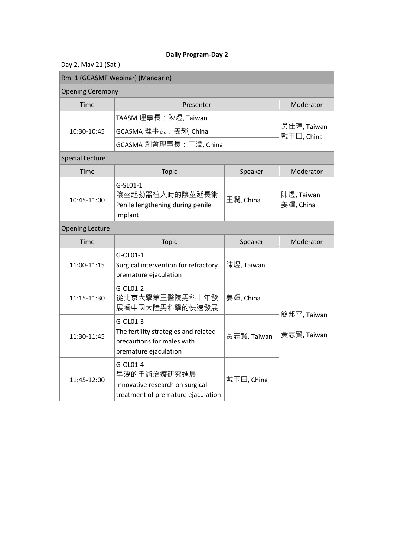| Day 2, May 21 (Sat.) |  |  |  |
|----------------------|--|--|--|
|----------------------|--|--|--|

| Rm. 1 (GCASMF Webinar) (Mandarin) |                                                                                                         |             |                            |
|-----------------------------------|---------------------------------------------------------------------------------------------------------|-------------|----------------------------|
| <b>Opening Ceremony</b>           |                                                                                                         |             |                            |
| Time                              | Presenter                                                                                               |             | Moderator                  |
|                                   | TAASM 理事長:陳煜, Taiwan                                                                                    |             |                            |
| 10:30-10:45                       | GCASMA 理事長: 姜輝, China                                                                                   |             | 吳佳璋, Taiwan<br>戴玉田, China  |
|                                   | GCASMA 創會理事長: 王潤, China                                                                                 |             |                            |
| <b>Special Lecture</b>            |                                                                                                         |             |                            |
| Time                              | Topic                                                                                                   | Speaker     | Moderator                  |
| 10:45-11:00                       | G-SL01-1<br>陰莖起勃器植入時的陰莖延長術<br>Penile lengthening during penile<br>implant                               | 王潤, China   | 陳煜, Taiwan<br>姜輝, China    |
| <b>Opening Lecture</b>            |                                                                                                         |             |                            |
| Time                              | Topic                                                                                                   | Speaker     | Moderator                  |
| 11:00-11:15                       | G-OL01-1<br>Surgical intervention for refractory<br>premature ejaculation                               | 陳煜, Taiwan  |                            |
| 11:15-11:30                       | G-OL01-2<br>從北京大學第三醫院男科十年發<br>展看中國大陸男科學的快速發展                                                            | 姜輝, China   |                            |
| 11:30-11:45                       | G-OL01-3<br>The fertility strategies and related<br>precautions for males with<br>premature ejaculation | 黃志賢, Taiwan | 簡邦平, Taiwan<br>黃志賢, Taiwan |
| 11:45-12:00                       | G-OL01-4<br>早洩的手術治療研究進展<br>Innovative research on surgical<br>treatment of premature ejaculation        | 戴玉田, China  |                            |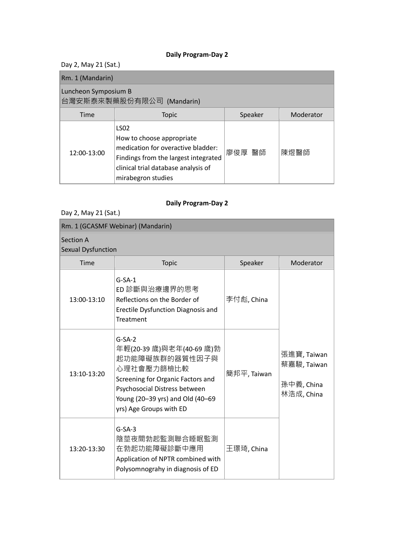Day 2, May 21 (Sat.)

| Rm. 1 (Mandarin)                                  |                                                                                                                                                                                     |         |           |
|---------------------------------------------------|-------------------------------------------------------------------------------------------------------------------------------------------------------------------------------------|---------|-----------|
| Luncheon Symposium B<br>台灣安斯泰來製藥股份有限公司 (Mandarin) |                                                                                                                                                                                     |         |           |
| Time                                              | <b>Topic</b>                                                                                                                                                                        | Speaker | Moderator |
| 12:00-13:00                                       | <b>LSO2</b><br>How to choose appropriate<br>medication for overactive bladder:<br>Findings from the largest integrated<br>clinical trial database analysis of<br>mirabegron studies | 廖俊厚 醫師  | 陳煜醫師      |

## **Daily Program-Day 2**

Day 2, May 21 (Sat.)

| Rm. 1 (GCASMF Webinar) (Mandarin)      |                                                                                                                                                                                                           |             |                                                        |
|----------------------------------------|-----------------------------------------------------------------------------------------------------------------------------------------------------------------------------------------------------------|-------------|--------------------------------------------------------|
| Section A<br><b>Sexual Dysfunction</b> |                                                                                                                                                                                                           |             |                                                        |
| Time                                   | <b>Topic</b>                                                                                                                                                                                              | Speaker     | Moderator                                              |
| 13:00-13:10                            | $G-SA-1$<br>ED 診斷與治療邊界的思考<br>Reflections on the Border of<br>Erectile Dysfunction Diagnosis and<br>Treatment                                                                                              | 李付彪, China  |                                                        |
| 13:10-13:20                            | $G-SA-2$<br>年輕(20-39 歲)與老年(40-69 歲)勃<br>起功能障礙族群的器質性因子與<br>心理社會壓力篩檢比較<br>Screening for Organic Factors and<br>Psychosocial Distress between<br>Young (20-39 yrs) and Old (40-69<br>yrs) Age Groups with ED | 簡邦平, Taiwan | 張進寶, Taiwan<br>蔡嘉駿, Taiwan<br>孫中義, China<br>林浩成, China |
| 13:20-13:30                            | $G-SA-3$<br>陰莖夜間勃起監測聯合睡眠監測<br>在勃起功能障礙診斷中應用<br>Application of NPTR combined with<br>Polysomnograhy in diagnosis of ED                                                                                      | 王璟琦, China  |                                                        |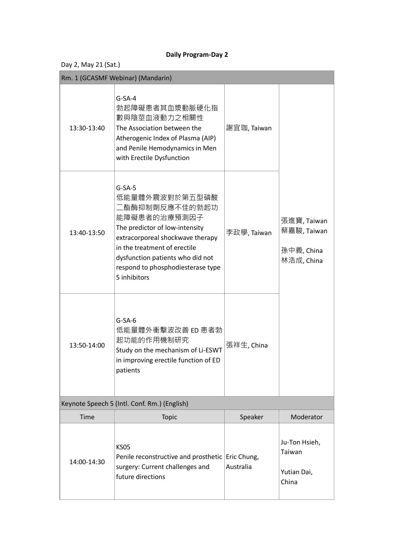|  | Day 2, May 21 (Sat.) |  |
|--|----------------------|--|
|--|----------------------|--|

|             | Rm. 1 (GCASMF Webinar) (Mandarin)                                                                                                                                                                                                                           |                          |                                                        |
|-------------|-------------------------------------------------------------------------------------------------------------------------------------------------------------------------------------------------------------------------------------------------------------|--------------------------|--------------------------------------------------------|
| 13:30-13:40 | $G-SA-4$<br>勃起障礙患者其血漿動脈硬化指<br>數與陰莖血液動力之相關性<br>The Association between the<br>Atherogenic Index of Plasma (AIP)<br>and Penile Hemodynamics in Men<br>with Erectile Dysfunction                                                                               | 謝宜珈, Taiwan              |                                                        |
| 13:40-13:50 | $G-SA-5$<br>低能量體外震波對於第五型磷酸<br>二酯酶抑制劑反應不佳的勃起功<br>能障礙患者的治療預測因子<br>The predictor of low-intensity<br>extracorporeal shockwave therapy<br>in the treatment of erectile<br>dysfunction patients who did not<br>respond to phosphodiesterase type<br>5 inhibitors | 李政學, Taiwan              | 張進寶, Taiwan<br>蔡嘉駿, Taiwan<br>孫中義, China<br>林浩成, China |
| 13:50-14:00 | $G-SA-6$<br>低能量體外衝擊波改善 ED 患者勃<br>起功能的作用機制研究<br>Study on the mechanism of Li-ESWT<br>in improving erectile function of ED<br>patients                                                                                                                        | 張祥生, China               |                                                        |
|             | Keynote Speech 5 (Intl. Conf. Rm.) (English)                                                                                                                                                                                                                |                          |                                                        |
| Time        | Topic                                                                                                                                                                                                                                                       | Speaker                  | Moderator                                              |
| 14:00-14:30 | <b>KS05</b><br>Penile reconstructive and prosthetic<br>surgery: Current challenges and<br>future directions                                                                                                                                                 | Eric Chung,<br>Australia | Ju-Ton Hsieh,<br>Taiwan<br>Yutian Dai,<br>China        |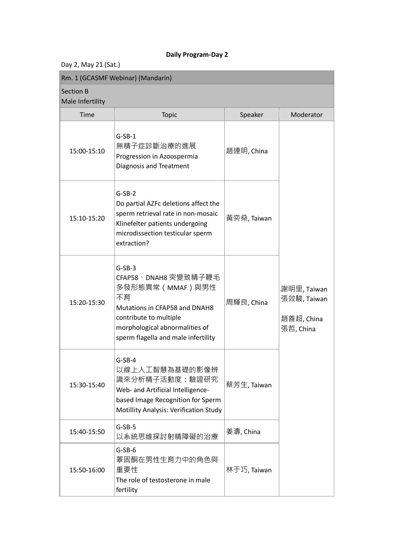Day 2, May 21 (Sat.)

| Rm. 1 (GCASMF Webinar) (Mandarin)    |                                                                                                                                                                                               |             |                                                       |
|--------------------------------------|-----------------------------------------------------------------------------------------------------------------------------------------------------------------------------------------------|-------------|-------------------------------------------------------|
| <b>Section B</b><br>Male Infertility |                                                                                                                                                                                               |             |                                                       |
| Time                                 | <b>Topic</b>                                                                                                                                                                                  | Speaker     | Moderator                                             |
| 15:00-15:10                          | $G-SB-1$<br>無精子症診斷治療的進展<br>Progression in Azoospermia<br><b>Diagnosis and Treatment</b>                                                                                                       | 趙連明, China  |                                                       |
| 15:10-15:20                          | $G-SB-2$<br>Do partial AZFc deletions affect the<br>sperm retrieval rate in non-mosaic<br>Klinefelter patients undergoing<br>microdissection testicular sperm<br>extraction?                  | 黃奕燊, Taiwan |                                                       |
| 15:20-15:30                          | $G-SB-3$<br>CFAP58、DNAH8 突變致精子鞭毛<br>多發形態異常(MMAF)與男性<br>不育<br>Mutations in CFAP58 and DNAH8<br>contribute to multiple<br>morphological abnormalities of<br>sperm flagella and male infertility | 周輝良, China  | 謝明里, Taiwan<br>張效駿, Taiwan<br>趙善超, China<br>張哲, China |
| 15:30-15:40                          | $G-SB-4$<br>以線上人工智慧為基礎的影像辨<br>識來分析精子活動度:驗證研究<br>Web- and Artificial Intelligence-<br>based Image Recognition for Sperm<br>Motillity Analysis: Verification Study                              | 蔡芳生, Taiwan |                                                       |
| 15:40-15:50                          | $G-SB-5$<br>以系統思維探討射精障礙的治療                                                                                                                                                                    | 姜濤, China   |                                                       |
| 15:50-16:00                          | $G-SB-6$<br>睪固酮在男性生育力中的角色與<br>重要性<br>The role of testosterone in male<br>fertility                                                                                                            | 林于巧, Taiwan |                                                       |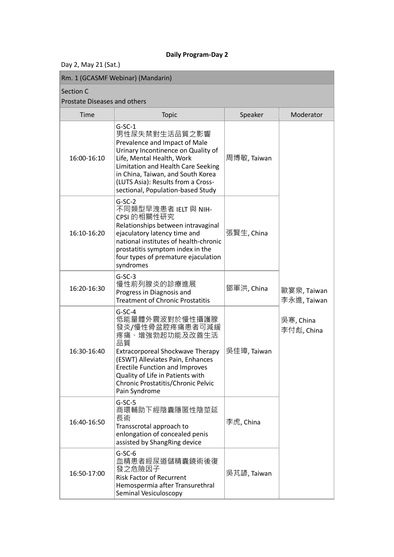Day 2, May 21 (Sat.)

## Section C

## Prostate Diseases and others

| TUState Discases and Others |                                                                                                                                                                                                                                                                                     |             |                            |
|-----------------------------|-------------------------------------------------------------------------------------------------------------------------------------------------------------------------------------------------------------------------------------------------------------------------------------|-------------|----------------------------|
| Time                        | <b>Topic</b>                                                                                                                                                                                                                                                                        | Speaker     | Moderator                  |
| 16:00-16:10                 | $G-SC-1$<br>男性尿失禁對生活品質之影響<br>Prevalence and Impact of Male<br>Urinary Incontinence on Quality of<br>Life, Mental Health, Work<br>Limitation and Health Care Seeking<br>in China, Taiwan, and South Korea<br>(LUTS Asia): Results from a Cross-<br>sectional, Population-based Study | 周博敏, Taiwan |                            |
| 16:10-16:20                 | $G-SC-2$<br>不同類型早洩患者 IELT 與 NIH-<br>CPSI 的相關性研究<br>Relationships between intravaginal<br>ejaculatory latency time and<br>national institutes of health-chronic<br>prostatitis symptom index in the<br>four types of premature ejaculation<br>syndromes                              | 張賢生, China  |                            |
| 16:20-16:30                 | $G-SC-3$<br>慢性前列腺炎的診療進展<br>Progress in Diagnosis and<br><b>Treatment of Chronic Prostatitis</b>                                                                                                                                                                                     | 鄧軍洪, China  | 歐宴泉, Taiwan<br>李永進, Taiwan |
| 16:30-16:40                 | $G-SC-4$<br>低能量體外震波對於慢性攝護腺<br>發炎/慢性骨盆腔疼痛患者可減緩<br>疼痛、增強勃起功能及改善生活<br>品質<br>Extracorporeal Shockwave Therapy<br>(ESWT) Alleviates Pain, Enhances<br><b>Erectile Function and Improves</b><br>Quality of Life in Patients with<br>Chronic Prostatitis/Chronic Pelvic<br>Pain Syndrome   | 吳佳璋, Taiwan | 吳寒, China<br>李付彪, China    |
| 16:40-16:50                 | $G-SC-5$<br>商環輔助下經陰囊隱匿性陰莖延<br>長術<br>Transscrotal approach to<br>enlongation of concealed penis<br>assisted by ShangRing device                                                                                                                                                      | 李虎, China   |                            |
| 16:50-17:00                 | $G-SC-6$<br>血精患者經尿道儲精囊鏡術後復<br>發之危險因子<br><b>Risk Factor of Recurrent</b><br>Hemospermia after Transurethral<br>Seminal Vesiculoscopy                                                                                                                                                 | 吳芃諺, Taiwan |                            |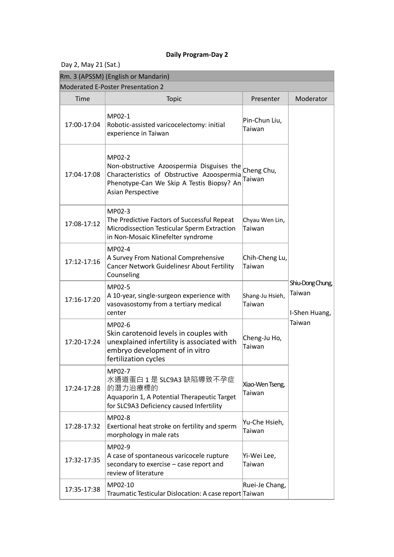Day 2, May 21 (Sat.)

|             | Rm. 3 (APSSM) (English or Mandarin)                                                                                                                                 |                           |                                             |
|-------------|---------------------------------------------------------------------------------------------------------------------------------------------------------------------|---------------------------|---------------------------------------------|
|             | Moderated E-Poster Presentation 2                                                                                                                                   |                           |                                             |
| Time        | <b>Topic</b>                                                                                                                                                        | Presenter                 | Moderator                                   |
| 17:00-17:04 | MP02-1<br>Robotic-assisted varicocelectomy: initial<br>experience in Taiwan                                                                                         | Pin-Chun Liu,<br>Taiwan   |                                             |
| 17:04-17:08 | MP02-2<br>Non-obstructive Azoospermia Disguises the<br>Characteristics of Obstructive Azoospermia<br>Phenotype-Can We Skip A Testis Biopsy? An<br>Asian Perspective | Cheng Chu,<br>Taiwan      |                                             |
| 17:08-17:12 | MP02-3<br>The Predictive Factors of Successful Repeat<br>Microdissection Testicular Sperm Extraction<br>in Non-Mosaic Klinefelter syndrome                          | Chyau Wen Lin,<br>Taiwan  |                                             |
| 17:12-17:16 | MP02-4<br>A Survey From National Comprehensive<br><b>Cancer Network Guidelinesr About Fertility</b><br>Counseling                                                   | Chih-Cheng Lu,<br>Taiwan  |                                             |
| 17:16-17:20 | MP02-5<br>A 10-year, single-surgeon experience with<br>vasovasostomy from a tertiary medical<br>center                                                              | Shang-Ju Hsieh,<br>Taiwan | Shiu-Dong Chung,<br>Taiwan<br>I-Shen Huang, |
| 17:20-17:24 | MP02-6<br>Skin carotenoid levels in couples with<br>unexplained infertility is associated with<br>embryo development of in vitro<br>fertilization cycles            | Cheng-Ju Ho,<br>Taiwan    | Taiwan                                      |
| 17:24-17:28 | MP02-7<br>水通道蛋白 1 是 SLC9A3 缺陷導致不孕症<br>的潛力治療標的<br>Aquaporin 1, A Potential Therapeutic Target<br>for SLC9A3 Deficiency caused Infertility                            | Xiao-Wen Tseng,<br>Taiwan |                                             |
| 17:28-17:32 | MP02-8<br>Exertional heat stroke on fertility and sperm<br>morphology in male rats                                                                                  | Yu-Che Hsieh,<br>Taiwan   |                                             |
| 17:32-17:35 | MP02-9<br>A case of spontaneous varicocele rupture<br>secondary to exercise - case report and<br>review of literature                                               | Yi-Wei Lee,<br>Taiwan     |                                             |
| 17:35-17:38 | MP02-10<br>Traumatic Testicular Dislocation: A case report Taiwan                                                                                                   | Ruei-Je Chang,            |                                             |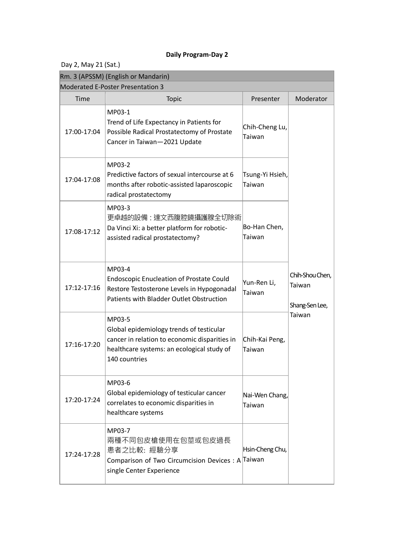| Day 2, May 21 (Sat.) |                                                                                                                                                                    |                           |                                             |
|----------------------|--------------------------------------------------------------------------------------------------------------------------------------------------------------------|---------------------------|---------------------------------------------|
|                      | Rm. 3 (APSSM) (English or Mandarin)                                                                                                                                |                           |                                             |
|                      | <b>Moderated E-Poster Presentation 3</b>                                                                                                                           |                           |                                             |
| Time                 | <b>Topic</b>                                                                                                                                                       | Presenter                 | Moderator                                   |
| 17:00-17:04          | MP03-1<br>Trend of Life Expectancy in Patients for<br>Possible Radical Prostatectomy of Prostate<br>Cancer in Taiwan-2021 Update                                   | Chih-Cheng Lu,<br>Taiwan  |                                             |
| 17:04-17:08          | MP03-2<br>Predictive factors of sexual intercourse at 6<br>months after robotic-assisted laparoscopic<br>radical prostatectomy                                     | Tsung-Yi Hsieh,<br>Taiwan |                                             |
| 17:08-17:12          | MP03-3<br>更卓越的設備:達文西腹腔鏡攝護腺全切除術<br>Da Vinci Xi: a better platform for robotic-<br>assisted radical prostatectomy?                                                   | Bo-Han Chen,<br>Taiwan    |                                             |
| 17:12-17:16          | MP03-4<br><b>Endoscopic Enucleation of Prostate Could</b><br>Restore Testosterone Levels in Hypogonadal<br>Patients with Bladder Outlet Obstruction                | Yun-Ren Li,<br>Taiwan     | Chih-Shou Chen,<br>Taiwan<br>Shang-Sen Lee, |
| 17:16-17:20          | MP03-5<br>Global epidemiology trends of testicular<br>cancer in relation to economic disparities in<br>healthcare systems: an ecological study of<br>140 countries | Chih-Kai Peng,<br>Taiwan  | Taiwan                                      |
| 17:20-17:24          | MP03-6<br>Global epidemiology of testicular cancer<br>correlates to economic disparities in<br>healthcare systems                                                  | Nai-Wen Chang,<br>Taiwan  |                                             |
| 17:24-17:28          | MP03-7<br>兩種不同包皮槍使用在包莖或包皮過長<br>患者之比較: 經驗分享<br>Comparison of Two Circumcision Devices: A Taiwan<br>single Center Experience                                         | Hsin-Cheng Chu,           |                                             |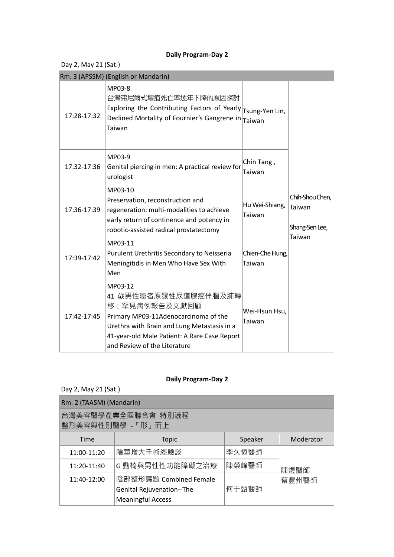Day 2, May 21 (Sat.)

|             | Rm. 3 (APSSM) (English or Mandarin)                                                                                                                                                                                     |                           |                                             |
|-------------|-------------------------------------------------------------------------------------------------------------------------------------------------------------------------------------------------------------------------|---------------------------|---------------------------------------------|
| 17:28-17:32 | MP03-8<br>台灣弗尼爾式壞疽死亡率逐年下降的原因探討<br>Exploring the Contributing Factors of Yearly $\vert_{\text{Tsung-Yen Lin}}$<br>Declined Mortality of Fournier's Gangrene in Taiwan<br>Taiwan                                          |                           |                                             |
| 17:32-17:36 | MP03-9<br>Genital piercing in men: A practical review for<br>urologist                                                                                                                                                  | Chin Tang,<br>Taiwan      |                                             |
| 17:36-17:39 | MP03-10<br>Preservation, reconstruction and<br>regeneration: multi-modalities to achieve<br>early return of continence and potency in<br>robotic-assisted radical prostatectomy                                         | Hu Wei-Shiang,<br>Taiwan  | Chih-Shou Chen,<br>Taiwan<br>Shang-Sen Lee, |
| 17:39-17:42 | MP03-11<br>Purulent Urethritis Secondary to Neisseria<br>Meningitidis in Men Who Have Sex With<br>Men                                                                                                                   | Chien-Che Hung,<br>Taiwan | Taiwan                                      |
| 17:42-17:45 | MP03-12<br>41 歲男性患者原發性尿道腺癌伴腦及肺轉<br>移:罕見病例報告及文獻回顧<br>Primary MP03-11Adenocarcinoma of the<br>Urethra with Brain and Lung Metastasis in a<br>41-year-old Male Patient: A Rare Case Report<br>and Review of the Literature | Wei-Hsun Hsu,<br>Taiwan   |                                             |

| Day 2, May 21 (Sat.)                    |                                                                                 |         |           |
|-----------------------------------------|---------------------------------------------------------------------------------|---------|-----------|
| Rm. 2 (TAASM) (Mandarin)                |                                                                                 |         |           |
| 台灣美容醫學產業全國聯合會 特別議程<br>整形美容與性別醫學 - 「形」而上 |                                                                                 |         |           |
| Time                                    | <b>Topic</b>                                                                    | Speaker | Moderator |
| 11:00-11:20                             | 陰莖增大手術經驗談                                                                       | 李久恆醫師   |           |
| 11:20-11:40                             | G 動椅與男性性功能障礙之治療                                                                 | 陳榮峰醫師   | 陳煜醫師      |
| 11:40-12:00                             | 陰部整形議題 Combined Female<br>Genital Rejuvenation--The<br><b>Meaningful Access</b> | 何于甄醫師   | 蔡豐州醫師     |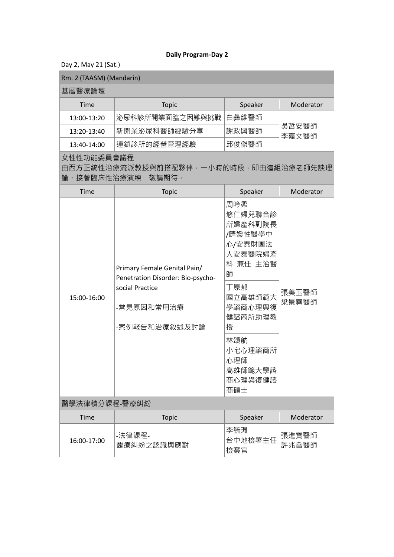Day 2, May 21 (Sat.)

| Rm. 2 (TAASM) (Mandarin)  |                                                                                                                     |                                                                                                                                                                                |                |
|---------------------------|---------------------------------------------------------------------------------------------------------------------|--------------------------------------------------------------------------------------------------------------------------------------------------------------------------------|----------------|
| 基層醫療論壇                    |                                                                                                                     |                                                                                                                                                                                |                |
| Time                      | <b>Topic</b>                                                                                                        | Speaker                                                                                                                                                                        | Moderator      |
| 13:00-13:20               | 泌尿科診所開業面臨之困難與挑戰                                                                                                     | 白彝維醫師                                                                                                                                                                          |                |
| 13:20-13:40               | 新開業泌尿科醫師經驗分享                                                                                                        | 謝政興醫師                                                                                                                                                                          | 吳哲安醫師<br>李嘉文醫師 |
| 13:40-14:00               | 連鎖診所的經營管理經驗                                                                                                         | 邱俊傑醫師                                                                                                                                                                          |                |
| 女性性功能委員會議程<br>論、接著臨床性治療演練 | 由西方正統性治療流派教授與前搭配夥伴・一小時的時段・即由這組治療老師先談理<br>敬請期待。                                                                      |                                                                                                                                                                                |                |
| Time                      | <b>Topic</b>                                                                                                        | Speaker                                                                                                                                                                        | Moderator      |
| 15:00-16:00               | Primary Female Genital Pain/<br>Penetration Disorder: Bio-psycho-<br>social Practice<br>-常見原因和常用治療<br>-案例報告和治療敘述及討論 | 周吟柔<br>悠仁婦兒聯合診<br>所婦產科副院長<br>/晴媛性醫學中<br>心/安泰財團法<br>人安泰醫院婦產<br>科 兼任 主治醫<br>師<br>丁原郁<br>國立高雄師範大<br>學諮商心理與復<br>健諮商所助理教<br>授<br>林頌航<br>小宅心理諮商所<br>心理師<br>高雄師範大學諮<br>商心理與復健諮<br>商碩士 | 張美玉醫師<br>梁景堯醫師 |
| 醫學法律積分課程-醫療糾紛             |                                                                                                                     |                                                                                                                                                                                |                |
| Time                      | <b>Topic</b>                                                                                                        | Speaker                                                                                                                                                                        | Moderator      |
| 16:00-17:00               | -法律課程-<br>醫療糾紛之認識與應對                                                                                                | 李毓珮<br>台中地檢署主任<br>檢察官                                                                                                                                                          | 張進寶醫師<br>許兆畬醫師 |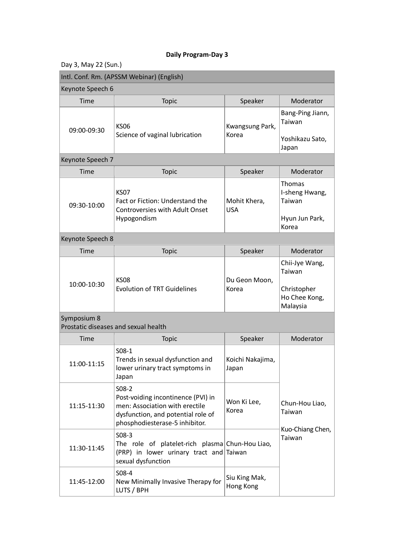| Day 3, May 22 (Sun.)                                |                                                                                                                                                         |                            |                                                                      |
|-----------------------------------------------------|---------------------------------------------------------------------------------------------------------------------------------------------------------|----------------------------|----------------------------------------------------------------------|
|                                                     | Intl. Conf. Rm. (APSSM Webinar) (English)                                                                                                               |                            |                                                                      |
| Keynote Speech 6                                    |                                                                                                                                                         |                            |                                                                      |
| <b>Time</b>                                         | Topic                                                                                                                                                   | Speaker                    | Moderator                                                            |
| 09:00-09:30                                         | <b>KS06</b><br>Science of vaginal lubrication                                                                                                           | Kwangsung Park,<br>Korea   | Bang-Ping Jiann,<br>Taiwan<br>Yoshikazu Sato,                        |
|                                                     |                                                                                                                                                         |                            | Japan                                                                |
| Keynote Speech 7                                    |                                                                                                                                                         |                            |                                                                      |
| <b>Time</b>                                         | <b>Topic</b>                                                                                                                                            | Speaker                    | Moderator                                                            |
| 09:30-10:00                                         | <b>KS07</b><br>Fact or Fiction: Understand the<br><b>Controversies with Adult Onset</b><br>Hypogondism                                                  | Mohit Khera,<br><b>USA</b> | Thomas<br>I-sheng Hwang,<br>Taiwan<br>Hyun Jun Park,<br>Korea        |
| Keynote Speech 8                                    |                                                                                                                                                         |                            |                                                                      |
| <b>Time</b>                                         | Topic                                                                                                                                                   | Speaker                    | Moderator                                                            |
| 10:00-10:30                                         | <b>KS08</b><br><b>Evolution of TRT Guidelines</b>                                                                                                       | Du Geon Moon,<br>Korea     | Chii-Jye Wang,<br>Taiwan<br>Christopher<br>Ho Chee Kong,<br>Malaysia |
| Symposium 8<br>Prostatic diseases and sexual health |                                                                                                                                                         |                            |                                                                      |
| Time                                                | <b>Topic</b>                                                                                                                                            | Speaker                    | Moderator                                                            |
| 11:00-11:15                                         | $S08-1$<br>Trends in sexual dysfunction and<br>lower urinary tract symptoms in<br>Japan                                                                 | Koichi Nakajima,<br>Japan  |                                                                      |
| 11:15-11:30                                         | $S08-2$<br>Post-voiding incontinence (PVI) in<br>men: Association with erectile<br>dysfunction, and potential role of<br>phosphodiesterase-5 inhibitor. | Won Ki Lee,<br>Korea       | Chun-Hou Liao,<br>Taiwan                                             |
| 11:30-11:45                                         | $S08-3$<br>The role of platelet-rich plasma Chun-Hou Liao,<br>(PRP) in lower urinary tract and Taiwan<br>sexual dysfunction                             |                            | Kuo-Chiang Chen,<br>Taiwan                                           |
| 11:45-12:00                                         | S08-4<br>New Minimally Invasive Therapy for<br>LUTS / BPH                                                                                               | Siu King Mak,<br>Hong Kong |                                                                      |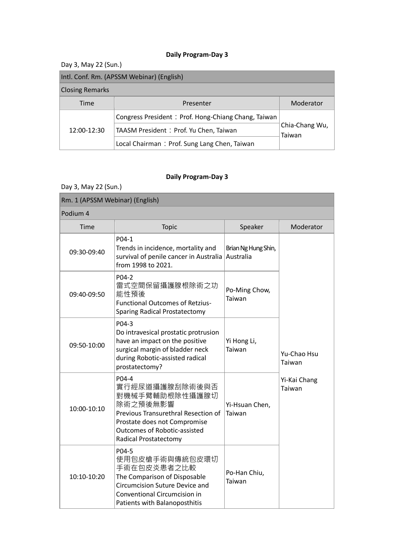## Day 3, May 22 (Sun.)

## Intl. Conf. Rm. (APSSM Webinar) (English)

#### Closing Remarks

|             | <b>Closing Remarks</b>                              |                          |           |  |  |
|-------------|-----------------------------------------------------|--------------------------|-----------|--|--|
|             | Time                                                | Presenter                | Moderator |  |  |
| 12:00-12:30 | Congress President: Prof. Hong-Chiang Chang, Taiwan | Chia-Chang Wu,<br>Taiwan |           |  |  |
|             | TAASM President: Prof. Yu Chen, Taiwan              |                          |           |  |  |
|             | Local Chairman: Prof. Sung Lang Chen, Taiwan        |                          |           |  |  |

## **Daily Program-Day 3**

Day 3, May 22 (Sun.)

| Rm. 1 (APSSM Webinar) (English) |                                                                                                                                                                                                     |                                  |                        |
|---------------------------------|-----------------------------------------------------------------------------------------------------------------------------------------------------------------------------------------------------|----------------------------------|------------------------|
| Podium 4                        |                                                                                                                                                                                                     |                                  |                        |
| Time                            | Topic                                                                                                                                                                                               | Speaker                          | Moderator              |
| 09:30-09:40                     | P04-1<br>Trends in incidence, mortality and<br>survival of penile cancer in Australia<br>from 1998 to 2021.                                                                                         | Brian Ng Hung Shin,<br>Australia |                        |
| 09:40-09:50                     | P04-2<br>雷式空間保留攝護腺根除術之功<br>能性預後<br><b>Functional Outcomes of Retzius-</b><br><b>Sparing Radical Prostatectomy</b>                                                                                   | Po-Ming Chow,<br>Taiwan          |                        |
| 09:50-10:00                     | P04-3<br>Do intravesical prostatic protrusion<br>have an impact on the positive<br>surgical margin of bladder neck<br>during Robotic-assisted radical<br>prostatectomy?                             | Yi Hong Li,<br>Taiwan            | Yu-Chao Hsu<br>Taiwan  |
| 10:00-10:10                     | P04-4<br>實行經尿道攝護腺刮除術後與否<br>對機械手臂輔助根除性攝護腺切<br>除術之預後無影響<br>Previous Transurethral Resection of<br>Prostate does not Compromise<br><b>Outcomes of Robotic-assisted</b><br><b>Radical Prostatectomy</b> | Yi-Hsuan Chen,<br>Taiwan         | Yi-Kai Chang<br>Taiwan |
| 10:10-10:20                     | P04-5<br>使用包皮槍手術與傳統包皮環切<br>手術在包皮炎患者之比較<br>The Comparison of Disposable<br><b>Circumcision Suture Device and</b><br>Conventional Circumcision in<br>Patients with Balanoposthitis                    | Po-Han Chiu,<br>Taiwan           |                        |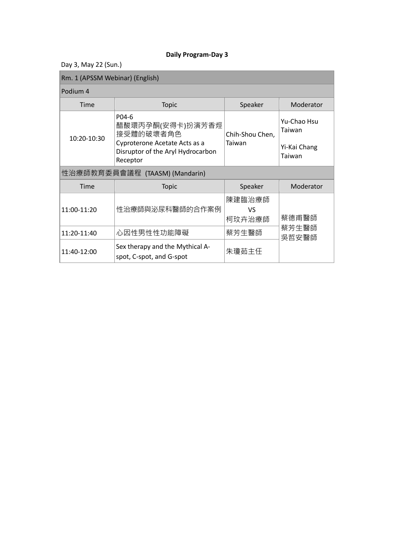Day 3, May 22 (Sun.)

## Rm. 1 (APSSM Webinar) (English)

#### Podium 4

| Podium 4    |                                                                                                                          |                           |                                                 |
|-------------|--------------------------------------------------------------------------------------------------------------------------|---------------------------|-------------------------------------------------|
| Time        | <b>Topic</b>                                                                                                             | Speaker                   | Moderator                                       |
| 10:20-10:30 | P04-6<br>醋酸環丙孕酮(安得卡)扮演芳香烴<br>接受體的破壞者角色<br>Cyproterone Acetate Acts as a<br>Disruptor of the Aryl Hydrocarbon<br>Receptor | Chih-Shou Chen,<br>Taiwan | Yu-Chao Hsu<br>Taiwan<br>Yi-Kai Chang<br>Taiwan |
|             | 性治療師教育委員會議程 (TAASM) (Mandarin)                                                                                           |                           |                                                 |
| Time        | <b>Topic</b>                                                                                                             | Speaker                   | Moderator                                       |
| 11:00-11:20 | 性治療師與泌尿科醫師的合作案例                                                                                                          | 陳建臨治療師<br>VS<br>柯玟卉治療師    | 蔡德甫醫師                                           |
| 11:20-11:40 | 心因性男性性功能障礙                                                                                                               | 蔡芳生醫師                     | 蔡芳生醫師<br>吳哲安醫師                                  |
| 11:40-12:00 | Sex therapy and the Mythical A-<br>spot, C-spot, and G-spot                                                              | 朱瓊茹主任                     |                                                 |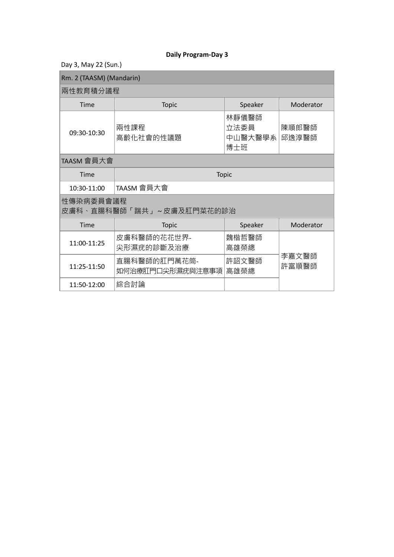Day 3, May 22 (Sun.)

 $\overline{\phantom{a}}$ 

| Rm. 2 (TAASM) (Mandarin) |  |
|--------------------------|--|
|--------------------------|--|

## 兩性教育積分議程

| Time        | Topic             | Speaker                            | Moderator      |
|-------------|-------------------|------------------------------------|----------------|
| 09:30-10:30 | 兩性課程<br>高齡化社會的性議題 | 林靜儀醫師 <br>立法委員<br>「中山醫大醫學系」<br>博士班 | 陳順郎醫師<br>邱逸淳醫師 |

## TAASM 會員大會

| Time                                  | <b>Topic</b>                     |               |                |
|---------------------------------------|----------------------------------|---------------|----------------|
| 10:30-11:00                           | TAASM 會員大會                       |               |                |
| 性傳染病委員會議程<br>皮膚科、直腸科醫師「踹共」~皮膚及肛門菜花的診治 |                                  |               |                |
| Time                                  | <b>Topic</b>                     | Speaker       | Moderator      |
| 11:00-11:25                           | 皮膚科醫師的花花世界-<br>尖形濕疣的診斷及治療        | 魏楷哲醫師<br>高雄榮總 |                |
| 11:25-11:50                           | 直腸科醫師的肛門萬花筒-<br>如何治療肛門口尖形濕疣與注意事項 | 許詔文醫師<br>高雄榮總 | 李嘉文醫師<br>許富順醫師 |
| 11:50-12:00                           | 綜合討論                             |               |                |